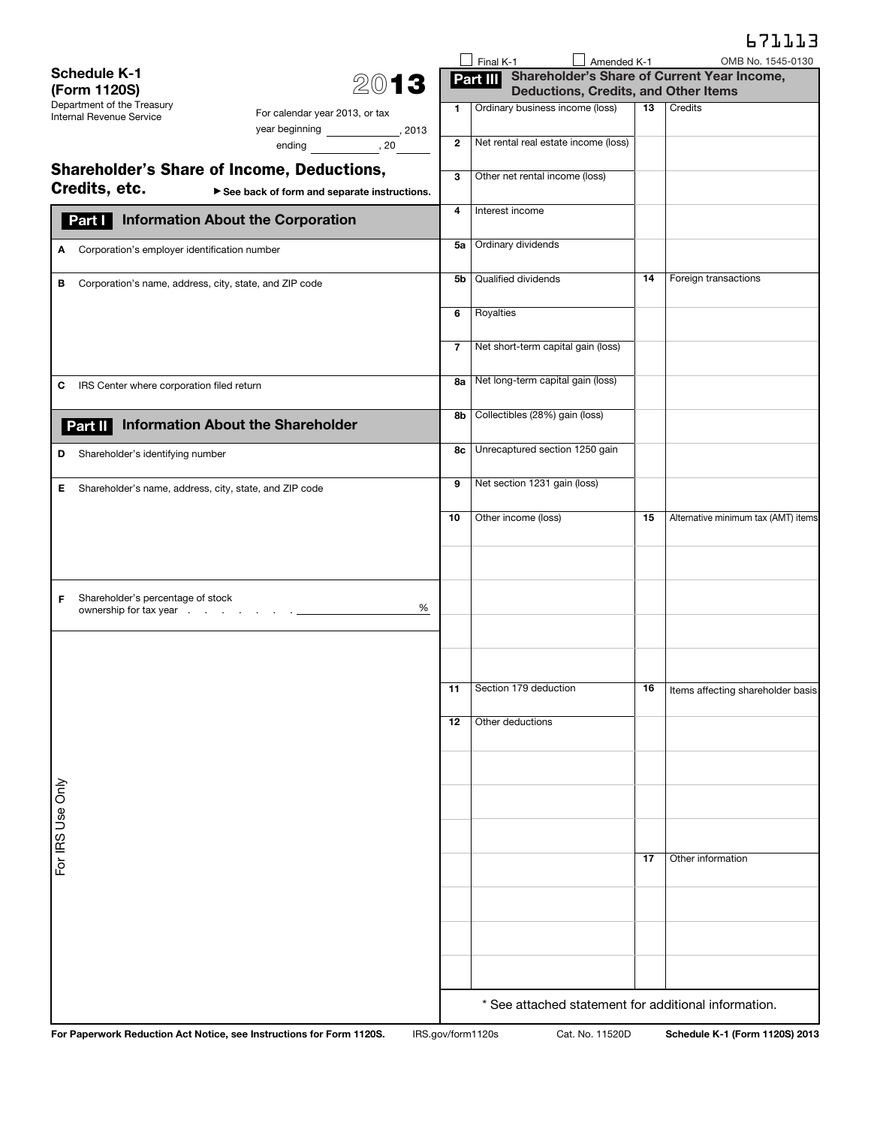|                                                                                                                   |                   |              | $\Box$ Final K-1                     | $\Box$ Amended K-1                          |    | OMB No. 1545-0130                                    |
|-------------------------------------------------------------------------------------------------------------------|-------------------|--------------|--------------------------------------|---------------------------------------------|----|------------------------------------------------------|
| <b>Schedule K-1</b>                                                                                               | 2013              |              | Part III                             |                                             |    | Shareholder's Share of Current Year Income,          |
| (Form 1120S)<br>Department of the Treasury                                                                        |                   |              | Ordinary business income (loss)      | <b>Deductions, Credits, and Other Items</b> | 13 | Credits                                              |
| For calendar year 2013, or tax<br>Internal Revenue Service                                                        |                   | 1            |                                      |                                             |    |                                                      |
| ending $\frac{1}{20}$ , 20                                                                                        |                   | $\mathbf{2}$ | Net rental real estate income (loss) |                                             |    |                                                      |
| <b>Shareholder's Share of Income, Deductions,</b><br>Credits, etc.<br>See back of form and separate instructions. |                   | 3            | Other net rental income (loss)       |                                             |    |                                                      |
| <b>Information About the Corporation</b><br>Part I                                                                |                   | 4            | Interest income                      |                                             |    |                                                      |
| Corporation's employer identification number<br>A                                                                 |                   | 5a           | Ordinary dividends                   |                                             |    |                                                      |
| в<br>Corporation's name, address, city, state, and ZIP code                                                       |                   | 5b           | Qualified dividends                  |                                             | 14 | Foreign transactions                                 |
|                                                                                                                   |                   | 6            | Royalties                            |                                             |    |                                                      |
|                                                                                                                   |                   | 7            | Net short-term capital gain (loss)   |                                             |    |                                                      |
| IRS Center where corporation filed return<br>С                                                                    |                   | 8a           | Net long-term capital gain (loss)    |                                             |    |                                                      |
| <b>Information About the Shareholder</b><br>Part II                                                               |                   | 8b           | Collectibles (28%) gain (loss)       |                                             |    |                                                      |
| Shareholder's identifying number<br>D                                                                             |                   | 8с           | Unrecaptured section 1250 gain       |                                             |    |                                                      |
| Е<br>Shareholder's name, address, city, state, and ZIP code                                                       |                   | 9            | Net section 1231 gain (loss)         |                                             |    |                                                      |
|                                                                                                                   |                   | 10           | Other income (loss)                  |                                             | 15 | Alternative minimum tax (AMT) items                  |
|                                                                                                                   |                   |              |                                      |                                             |    |                                                      |
| Shareholder's percentage of stock<br>F                                                                            | %                 |              |                                      |                                             |    |                                                      |
|                                                                                                                   |                   |              |                                      |                                             |    |                                                      |
|                                                                                                                   |                   |              | 11   Section 179 deduction           |                                             |    | 16   Items affecting shareholder basis               |
|                                                                                                                   |                   | 12           | Other deductions                     |                                             |    |                                                      |
|                                                                                                                   |                   |              |                                      |                                             |    |                                                      |
| For IRS Use Only                                                                                                  |                   |              |                                      |                                             |    |                                                      |
|                                                                                                                   |                   |              |                                      |                                             |    |                                                      |
|                                                                                                                   |                   |              |                                      |                                             | 17 | Other information                                    |
|                                                                                                                   |                   |              |                                      |                                             |    |                                                      |
|                                                                                                                   |                   |              |                                      |                                             |    |                                                      |
|                                                                                                                   |                   |              |                                      |                                             |    |                                                      |
|                                                                                                                   |                   |              |                                      |                                             |    | * See attached statement for additional information. |
| For Paperwork Reduction Act Notice, see Instructions for Form 1120S.                                              | IRS.gov/form1120s |              |                                      | Cat. No. 11520D                             |    | Schedule K-1 (Form 1120S) 2013                       |